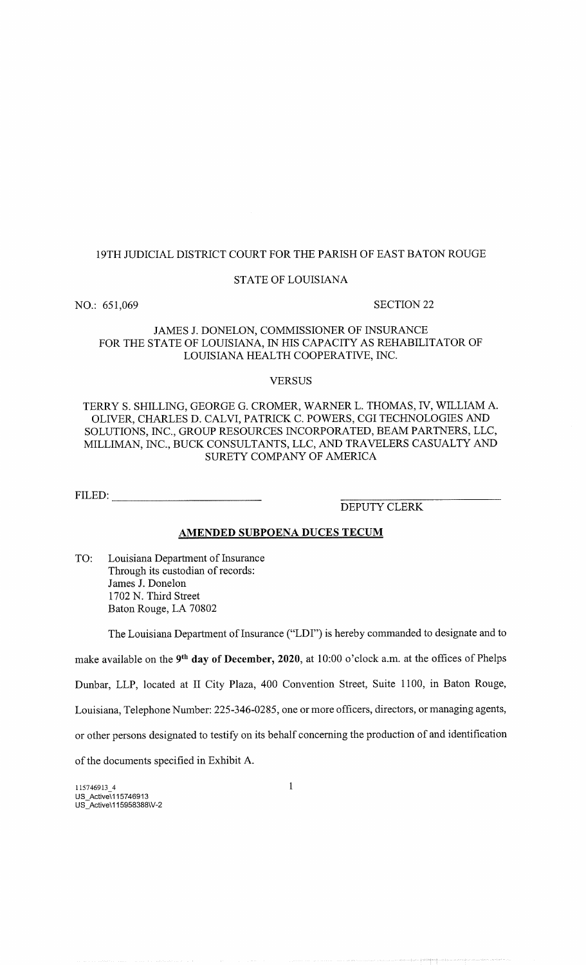## 19TH JUDICIAL DISTRICT COURT FOR THE PARISH OF EAST BATON ROUGE

### STATE OF LOUISIANA

NO.: 651,069 SECTION 22

# JAMES J. DONELON, COMMISSIONER OF INSURANCE FOR THE STATE OF LOUISIANA, IN HIS CAPACITY AS REHABILITATOR OF LOUISIANA HEALTH COOPERATIVE, INC.

### VERSUS

# TERRY S. SHILLING, GEORGE G. CROMER, WARNER L. THOMAS, IV, WILLIAM A. OLIVER, CHARLES D. CALVI, PATRICK C. POWERS, CGI TECHNOLOGIES AND SOLUTIONS, INC., GROUP RESOURCES INCORPORATED, BEAM PARTNERS, LLC, MILLIMAN, INC., BUCK CONSULTANTS, LLC, AND TRAVELERS CASUALTY AND SURETY COMPANY OF AMERICA

FILED:

DEPUTY CLERK

## AMENDED SUBPOENA DUCES TECUM

TO: Louisiana Department of Insurance Through its custodian of records: James J. Donelon 1702 N. Third Street Baton Rouge, LA 70802

The Louisiana Department of Insurance ("LDI") is hereby commanded to designate and to

make available on the 9<sup>th</sup> day of December, 2020, at 10:00 o'clock a.m. at the offices of Phelps

Dunbar, LLP, located at II City Plaza, 400 Convention Street, Suite 1100, in Baton Rouge,

Louisiana, Telephone Number: 225-346-0285, one or more officers, directors, or managing agents,

or other persons designated to testify on its behalf concerning the production of and identification

of the documents specified in Exhibit A.

1 15746913\_4 US\_Active\115746913 US\_Active\115958388\V-2 1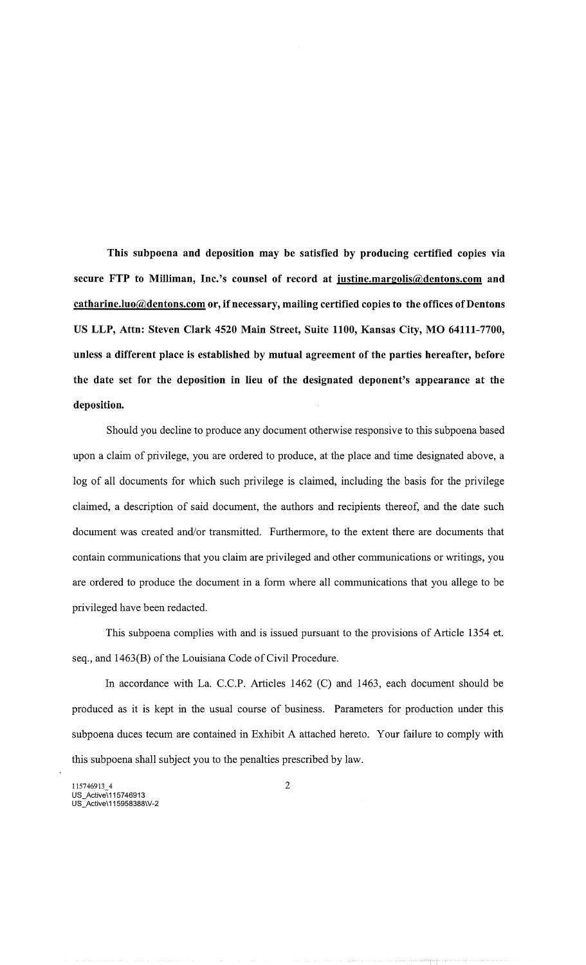This subpoena and deposition may be satisfied by producing certified copies via secure FTP to Milliman, Inc.'s counsel of record at justine.margolis@dentons.com and catharine.luo@dentons.com or, if necessary, mailing certified copies to the offices of Dentons US LLP, Attn: Steven Clark 4520 Main Street, Suite 1100, Kansas City, MO 64111-7700, unless a different place is established by mutual agreement of the parties hereafter, before the date set for the deposition in lieu of the designated deponent's appearance at the deposition.

Should you decline to produce any document otherwise responsive to this subpoena based upon a claim of privilege, you are ordered to produce, at the place and time designated above, a log of all documents for which such privilege is claimed, including the basis for the privilege claimed, a description of said document, the authors and recipients thereof, and the date such document was created and/or transmitted. Furthermore, to the extent there are documents that contain communications that you claim are privileged and other communications or writings, you are ordered to produce the document in a form where all communications that you allege to be privileged have been redacted.

This subpoena complies with and is issued pursuant to the provisions of Article 1354 et. seq., and 1463(B) of the Louisiana Code of Civil Procedure.

In accordance with La. C.C.P. Articles 1462 (C) and 1463, each document should be produced as it is kept in the usual course of business. Parameters for production under this subpoena duces tecum are contained in Exhibit A attached hereto. Your failure to comply with this subpoena shall subject you to the penalties prescribed by law.